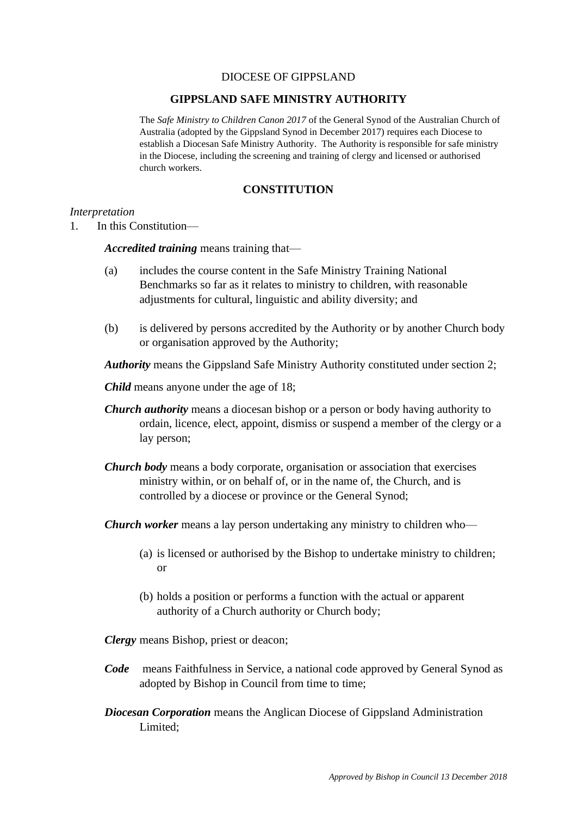## DIOCESE OF GIPPSLAND

### **GIPPSLAND SAFE MINISTRY AUTHORITY**

The *Safe Ministry to Children Canon 2017* of the General Synod of the Australian Church of Australia (adopted by the Gippsland Synod in December 2017) requires each Diocese to establish a Diocesan Safe Ministry Authority. The Authority is responsible for safe ministry in the Diocese, including the screening and training of clergy and licensed or authorised church workers.

# **CONSTITUTION**

#### *Interpretation*

1. In this Constitution—

*Accredited training* means training that—

- (a) includes the course content in the Safe Ministry Training National Benchmarks so far as it relates to ministry to children, with reasonable adjustments for cultural, linguistic and ability diversity; and
- (b) is delivered by persons accredited by the Authority or by another Church body or organisation approved by the Authority;

*Authority* means the Gippsland Safe Ministry Authority constituted under section 2;

*Child* means anyone under the age of 18;

- *Church authority* means a diocesan bishop or a person or body having authority to ordain, licence, elect, appoint, dismiss or suspend a member of the clergy or a lay person;
- *Church body* means a body corporate, organisation or association that exercises ministry within, or on behalf of, or in the name of, the Church, and is controlled by a diocese or province or the General Synod;

*Church worker* means a lay person undertaking any ministry to children who—

- (a) is licensed or authorised by the Bishop to undertake ministry to children; or
- (b) holds a position or performs a function with the actual or apparent authority of a Church authority or Church body;

*Clergy* means Bishop, priest or deacon;

- *Code* means Faithfulness in Service, a national code approved by General Synod as adopted by Bishop in Council from time to time;
- *Diocesan Corporation* means the Anglican Diocese of Gippsland Administration Limited;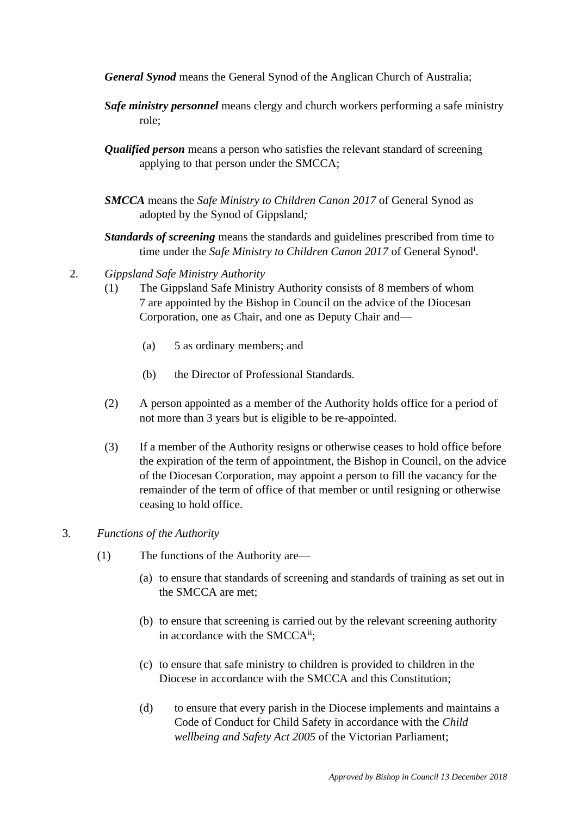- *General Synod* means the General Synod of the Anglican Church of Australia;
- *Safe ministry personnel* means clergy and church workers performing a safe ministry role;
- *Qualified person* means a person who satisfies the relevant standard of screening applying to that person under the SMCCA;
- *SMCCA* means the *Safe Ministry to Children Canon 2017* of General Synod as adopted by the Synod of Gippsland*;*

*Standards of screening* means the standards and guidelines prescribed from time to time under the *Safe Ministry to Children Canon 2017* of General Synod<sup>i</sup> .

- 2. *Gippsland Safe Ministry Authority*
	- (1) The Gippsland Safe Ministry Authority consists of 8 members of whom 7 are appointed by the Bishop in Council on the advice of the Diocesan Corporation, one as Chair, and one as Deputy Chair and—
		- (a) 5 as ordinary members; and
		- (b) the Director of Professional Standards.
	- (2) A person appointed as a member of the Authority holds office for a period of not more than 3 years but is eligible to be re-appointed.
	- (3) If a member of the Authority resigns or otherwise ceases to hold office before the expiration of the term of appointment, the Bishop in Council, on the advice of the Diocesan Corporation, may appoint a person to fill the vacancy for the remainder of the term of office of that member or until resigning or otherwise ceasing to hold office.

## 3. *Functions of the Authority*

- (1) The functions of the Authority are—
	- (a) to ensure that standards of screening and standards of training as set out in the SMCCA are met;
	- (b) to ensure that screening is carried out by the relevant screening authority in accordance with the SMCCA<sup>ii</sup>;
	- (c) to ensure that safe ministry to children is provided to children in the Diocese in accordance with the SMCCA and this Constitution;
	- (d) to ensure that every parish in the Diocese implements and maintains a Code of Conduct for Child Safety in accordance with the *Child wellbeing and Safety Act 2005* of the Victorian Parliament;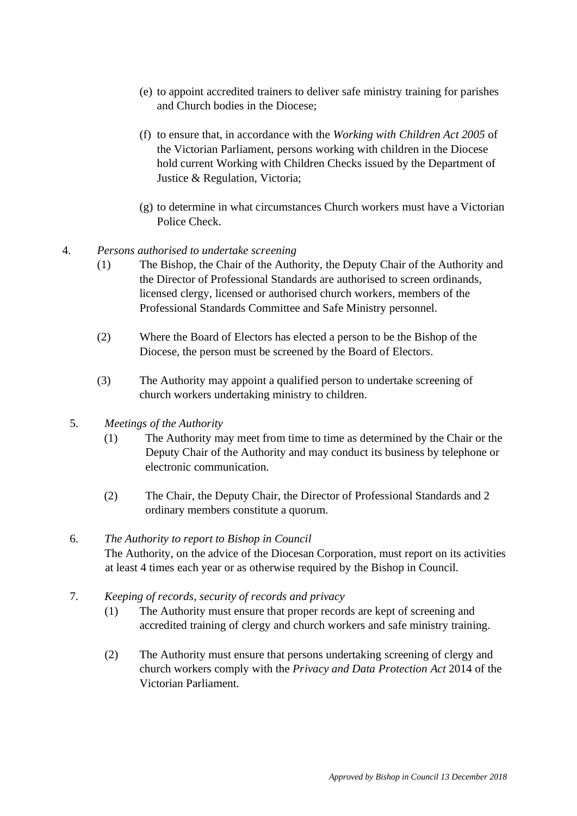- (e) to appoint accredited trainers to deliver safe ministry training for parishes and Church bodies in the Diocese;
- (f) to ensure that, in accordance with the *Working with Children Act 2005* of the Victorian Parliament, persons working with children in the Diocese hold current Working with Children Checks issued by the Department of Justice & Regulation, Victoria;
- (g) to determine in what circumstances Church workers must have a Victorian Police Check.
- 4. *Persons authorised to undertake screening*
	- (1) The Bishop, the Chair of the Authority, the Deputy Chair of the Authority and the Director of Professional Standards are authorised to screen ordinands, licensed clergy, licensed or authorised church workers, members of the Professional Standards Committee and Safe Ministry personnel.
	- (2) Where the Board of Electors has elected a person to be the Bishop of the Diocese, the person must be screened by the Board of Electors.
	- (3) The Authority may appoint a qualified person to undertake screening of church workers undertaking ministry to children.
	- 5. *Meetings of the Authority*
		- (1) The Authority may meet from time to time as determined by the Chair or the Deputy Chair of the Authority and may conduct its business by telephone or electronic communication.
		- (2) The Chair, the Deputy Chair, the Director of Professional Standards and 2 ordinary members constitute a quorum.
	- 6. *The Authority to report to Bishop in Council* The Authority, on the advice of the Diocesan Corporation, must report on its activities at least 4 times each year or as otherwise required by the Bishop in Council.
	- 7. *Keeping of records, security of records and privacy*
		- (1) The Authority must ensure that proper records are kept of screening and accredited training of clergy and church workers and safe ministry training.
		- (2) The Authority must ensure that persons undertaking screening of clergy and church workers comply with the *Privacy and Data Protection Act* 2014 of the Victorian Parliament.